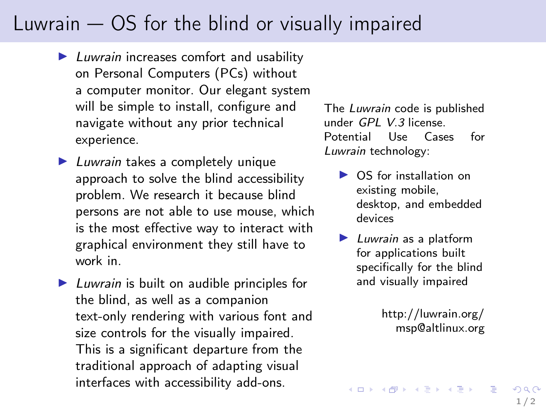## Luwrain — OS for the blind or visually impaired

- ▶ Luwrain increases comfort and usability on Personal Computers (PCs) without a computer monitor. Our elegant system will be simple to install, configure and navigate without any prior technical experience.
- $\blacktriangleright$  Luwrain takes a completely unique approach to solve the blind accessibility problem. We research it because blind persons are not able to use mouse, which is the most effective way to interact with graphical environment they still have to work in.

 $\blacktriangleright$  Luwrain is built on audible principles for the blind, as well as a companion text-only rendering with various font and size controls for the visually impaired. This is a significant departure from the traditional approach of adapting visual interfaces with accessibility add-ons.

The Luwrain code is published under GPL V.3 license. Potential Use Cases for Luwrain technology:

- ▶ OS for installation on existing mobile, desktop, and embedded devices
- $\blacktriangleright$  Luwrain as a platform for applications built specifically for the blind and visually impaired

[http://luwrain.org/](http://www.luwrain.org/) [msp@altlinux.org](mailto:msp@altlinux.org)

イロト 不優 ト 不重 ト 不重 トー 重

 $QQ$  $1/2$